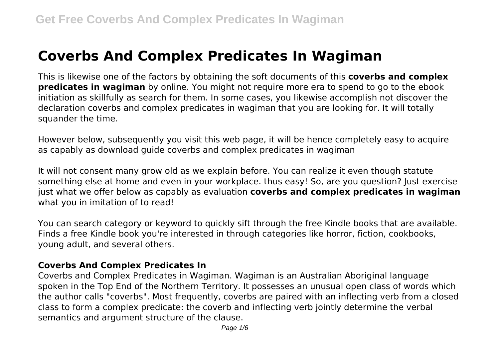# **Coverbs And Complex Predicates In Wagiman**

This is likewise one of the factors by obtaining the soft documents of this **coverbs and complex predicates in wagiman** by online. You might not require more era to spend to go to the ebook initiation as skillfully as search for them. In some cases, you likewise accomplish not discover the declaration coverbs and complex predicates in wagiman that you are looking for. It will totally squander the time.

However below, subsequently you visit this web page, it will be hence completely easy to acquire as capably as download guide coverbs and complex predicates in wagiman

It will not consent many grow old as we explain before. You can realize it even though statute something else at home and even in your workplace. thus easy! So, are you question? Just exercise just what we offer below as capably as evaluation **coverbs and complex predicates in wagiman** what you in imitation of to read!

You can search category or keyword to quickly sift through the free Kindle books that are available. Finds a free Kindle book you're interested in through categories like horror, fiction, cookbooks, young adult, and several others.

## **Coverbs And Complex Predicates In**

Coverbs and Complex Predicates in Wagiman. Wagiman is an Australian Aboriginal language spoken in the Top End of the Northern Territory. It possesses an unusual open class of words which the author calls "coverbs". Most frequently, coverbs are paired with an inflecting verb from a closed class to form a complex predicate: the coverb and inflecting verb jointly determine the verbal semantics and argument structure of the clause.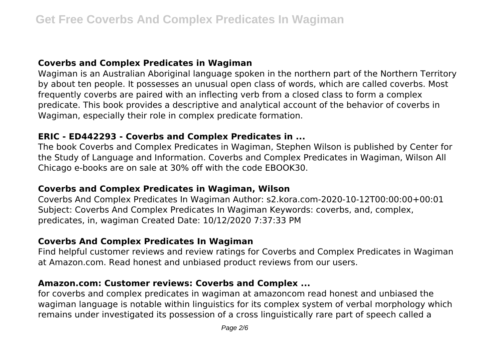## **Coverbs and Complex Predicates in Wagiman**

Wagiman is an Australian Aboriginal language spoken in the northern part of the Northern Territory by about ten people. It possesses an unusual open class of words, which are called coverbs. Most frequently coverbs are paired with an inflecting verb from a closed class to form a complex predicate. This book provides a descriptive and analytical account of the behavior of coverbs in Wagiman, especially their role in complex predicate formation.

#### **ERIC - ED442293 - Coverbs and Complex Predicates in ...**

The book Coverbs and Complex Predicates in Wagiman, Stephen Wilson is published by Center for the Study of Language and Information. Coverbs and Complex Predicates in Wagiman, Wilson All Chicago e-books are on sale at 30% off with the code EBOOK30.

## **Coverbs and Complex Predicates in Wagiman, Wilson**

Coverbs And Complex Predicates In Wagiman Author: s2.kora.com-2020-10-12T00:00:00+00:01 Subject: Coverbs And Complex Predicates In Wagiman Keywords: coverbs, and, complex, predicates, in, wagiman Created Date: 10/12/2020 7:37:33 PM

## **Coverbs And Complex Predicates In Wagiman**

Find helpful customer reviews and review ratings for Coverbs and Complex Predicates in Wagiman at Amazon.com. Read honest and unbiased product reviews from our users.

## **Amazon.com: Customer reviews: Coverbs and Complex ...**

for coverbs and complex predicates in wagiman at amazoncom read honest and unbiased the wagiman language is notable within linguistics for its complex system of verbal morphology which remains under investigated its possession of a cross linguistically rare part of speech called a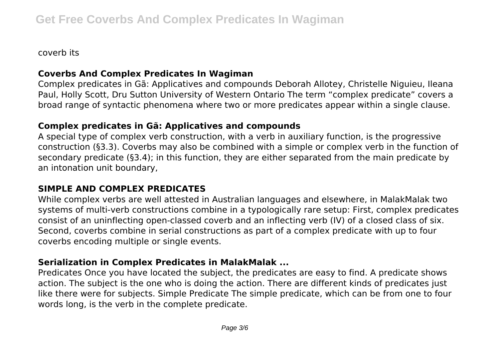coverb its

## **Coverbs And Complex Predicates In Wagiman**

Complex predicates in Gã: Applicatives and compounds Deborah Allotey, Christelle Niguieu, Ileana Paul, Holly Scott, Dru Sutton University of Western Ontario The term "complex predicate" covers a broad range of syntactic phenomena where two or more predicates appear within a single clause.

# **Complex predicates in Gã: Applicatives and compounds**

A special type of complex verb construction, with a verb in auxiliary function, is the progressive construction (§3.3). Coverbs may also be combined with a simple or complex verb in the function of secondary predicate (§3.4); in this function, they are either separated from the main predicate by an intonation unit boundary,

## **SIMPLE AND COMPLEX PREDICATES**

While complex verbs are well attested in Australian languages and elsewhere, in MalakMalak two systems of multi-verb constructions combine in a typologically rare setup: First, complex predicates consist of an uninflecting open-classed coverb and an inflecting verb (IV) of a closed class of six. Second, coverbs combine in serial constructions as part of a complex predicate with up to four coverbs encoding multiple or single events.

# **Serialization in Complex Predicates in MalakMalak ...**

Predicates Once you have located the subject, the predicates are easy to find. A predicate shows action. The subject is the one who is doing the action. There are different kinds of predicates just like there were for subjects. Simple Predicate The simple predicate, which can be from one to four words long, is the verb in the complete predicate.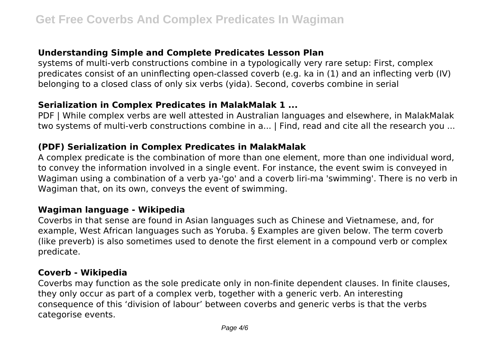## **Understanding Simple and Complete Predicates Lesson Plan**

systems of multi-verb constructions combine in a typologically very rare setup: First, complex predicates consist of an uninflecting open-classed coverb (e.g. ka in (1) and an inflecting verb (IV) belonging to a closed class of only six verbs (yida). Second, coverbs combine in serial

#### **Serialization in Complex Predicates in MalakMalak 1 ...**

PDF | While complex verbs are well attested in Australian languages and elsewhere, in MalakMalak two systems of multi-verb constructions combine in a... | Find, read and cite all the research you ...

## **(PDF) Serialization in Complex Predicates in MalakMalak**

A complex predicate is the combination of more than one element, more than one individual word, to convey the information involved in a single event. For instance, the event swim is conveyed in Wagiman using a combination of a verb ya-'go' and a coverb liri-ma 'swimming'. There is no verb in Wagiman that, on its own, conveys the event of swimming.

#### **Wagiman language - Wikipedia**

Coverbs in that sense are found in Asian languages such as Chinese and Vietnamese, and, for example, West African languages such as Yoruba. § Examples are given below. The term coverb (like preverb) is also sometimes used to denote the first element in a compound verb or complex predicate.

## **Coverb - Wikipedia**

Coverbs may function as the sole predicate only in non-finite dependent clauses. In finite clauses, they only occur as part of a complex verb, together with a generic verb. An interesting consequence of this 'division of labour' between coverbs and generic verbs is that the verbs categorise events.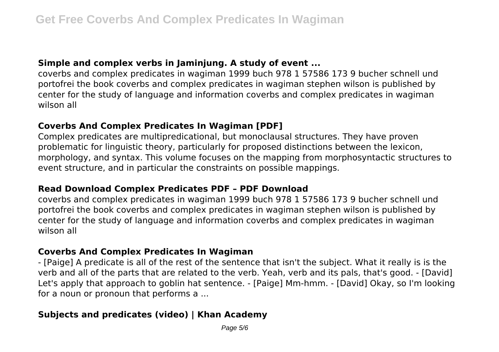## **Simple and complex verbs in Jaminjung. A study of event ...**

coverbs and complex predicates in wagiman 1999 buch 978 1 57586 173 9 bucher schnell und portofrei the book coverbs and complex predicates in wagiman stephen wilson is published by center for the study of language and information coverbs and complex predicates in wagiman wilson all

## **Coverbs And Complex Predicates In Wagiman [PDF]**

Complex predicates are multipredicational, but monoclausal structures. They have proven problematic for linguistic theory, particularly for proposed distinctions between the lexicon, morphology, and syntax. This volume focuses on the mapping from morphosyntactic structures to event structure, and in particular the constraints on possible mappings.

## **Read Download Complex Predicates PDF – PDF Download**

coverbs and complex predicates in wagiman 1999 buch 978 1 57586 173 9 bucher schnell und portofrei the book coverbs and complex predicates in wagiman stephen wilson is published by center for the study of language and information coverbs and complex predicates in wagiman wilson all

## **Coverbs And Complex Predicates In Wagiman**

- [Paige] A predicate is all of the rest of the sentence that isn't the subject. What it really is is the verb and all of the parts that are related to the verb. Yeah, verb and its pals, that's good. - [David] Let's apply that approach to goblin hat sentence. - [Paige] Mm-hmm. - [David] Okay, so I'm looking for a noun or pronoun that performs a ...

# **Subjects and predicates (video) | Khan Academy**